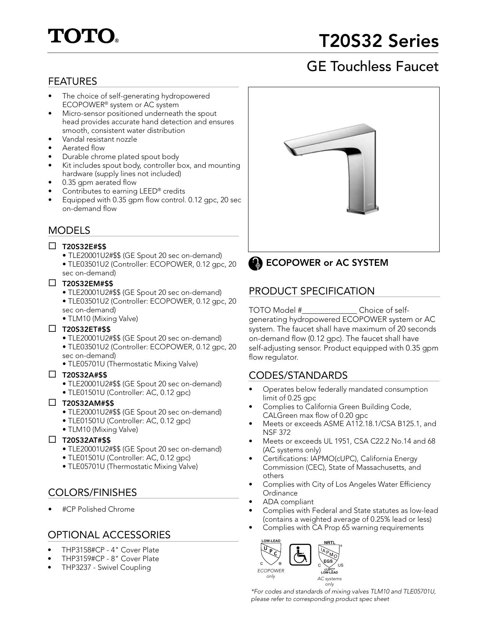# **TOTO.**

## T20S32 Series

## GE Touchless Faucet

### FEATURES

- The choice of self-generating hydropowered ECOPOWER® system or AC system
- Micro-sensor positioned underneath the spout head provides accurate hand detection and ensures smooth, consistent water distribution
- Vandal resistant nozzle
- Aerated flow
- Durable chrome plated spout body
- Kit includes spout body, controller box, and mounting hardware (supply lines not included)
- 0.35 gpm aerated flow
- Contributes to earning LEED<sup>®</sup> credits
- Equipped with 0.35 gpm flow control. 0.12 gpc, 20 sec on-demand flow

### MODELS

### $\square$  T20S32E#\$\$

- TLE20001U2#\$\$ (GE Spout 20 sec on-demand)
- TLE03501U2 (Controller: ECOPOWER, 0.12 gpc, 20 sec on-demand)

### $\square$  T20S32EM#\$\$

- TLE20001U2#\$\$ (GE Spout 20 sec on-demand)
- TLE03501U2 (Controller: ECOPOWER, 0.12 gpc, 20 sec on-demand)
- TLM10 (Mixing Valve)

### $\square$  T20S32ET#\$\$

- TLE20001U2#\$\$ (GE Spout 20 sec on-demand)
- TLE03501U2 (Controller: ECOPOWER, 0.12 gpc, 20 sec on-demand)
- TLE05701U (Thermostatic Mixing Valve)

### $\square$  T20S32A#\$\$

- TLE20001U2#\$\$ (GE Spout 20 sec on-demand)
- TLE01501U (Controller: AC, 0.12 gpc)

### $\square$  T20S32AM#\$\$

- TLE20001U2#\$\$ (GE Spout 20 sec on-demand)
- TLE01501U (Controller: AC, 0.12 gpc)
- TLM10 (Mixing Valve)

### $\Box$  T20S32AT#\$\$

- TLE20001U2#\$\$ (GE Spout 20 sec on-demand)
- TLE01501U (Controller: AC, 0.12 gpc)
- TLE05701U (Thermostatic Mixing Valve)

### COLORS/FINISHES

• #CP Polished Chrome

### OPTIONAL ACCESSORIES

- THP3158#CP 4" Cover Plate
- THP3159#CP 8" Cover Plate
- THP3237 Swivel Coupling





### PRODUCT SPECIFICATION

TOTO Model #\_\_\_\_\_\_\_\_\_\_\_\_\_\_ Choice of selfgenerating hydropowered ECOPOWER system or AC system. The faucet shall have maximum of 20 seconds on-demand flow (0.12 gpc). The faucet shall have self-adjusting sensor. Product equipped with 0.35 gpm flow regulator.

### CODES/STANDARDS

- Operates below federally mandated consumption limit of 0.25 gpc
- Complies to California Green Building Code, CALGreen max flow of 0.20 gpc
- Meets or exceeds ASME A112.18.1/CSA B125.1, and NSF 372
- Meets or exceeds UL 1951, CSA C22.2 No.14 and 68 (AC systems only)
- Certifications: IAPMO(cUPC), California Energy Commission (CEC), State of Massachusetts, and others
- Complies with City of Los Angeles Water Efficiency **Ordinance**
- ADA compliant
- Complies with Federal and State statutes as low-lead (contains a weighted average of 0.25% lead or less)
- Complies with CA Prop 65 warning requirements



*\*For codes and standards of mixing valves TLM10 and TLE05701U, please refer to corresponding product spec sheet*